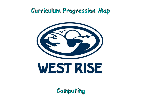# Curriculum Progression Map



Computing

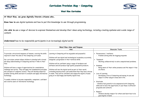

## **West Rise Curriculum**

**At West Rise, we grow digitally literate citizens who…**

*Know how to use digital systems and how to put this knowledge to use through programming.* 

*Are able to use a range of devices to express themselves and develop their ideas using technology, including creating systems and a wide range of content.*

*Understand how to be responsible participants in an increasingly digital world.* 

| Aims                                                                                                                                                                                                                                                                                                                                                                                                                                                                                                                                                                    |                                                                                                                                                                                                                                                                                       |
|-------------------------------------------------------------------------------------------------------------------------------------------------------------------------------------------------------------------------------------------------------------------------------------------------------------------------------------------------------------------------------------------------------------------------------------------------------------------------------------------------------------------------------------------------------------------------|---------------------------------------------------------------------------------------------------------------------------------------------------------------------------------------------------------------------------------------------------------------------------------------|
| Learning in Computing will be enjoyable and purposeful.<br>Children will use digital and technological vocabulary accurately,<br>alongside a progression in their technical skills.<br>Children will be confident using a range of hardware and<br>software and will produce high-quality purposeful products.<br>Children will see the digital world as part of their world,<br>extending beyond school, and understand that they have choices<br>to make. They will be confident and respectful digital citizens<br>going on to lead happy and healthy digital lives. | Perseverance / re<br>Problem solvino<br>Teamwork<br>Working collab<br>Kindness<br>Being aware of<br>on others.<br>Love of Learning<br>Developing a lo<br>impact in other<br>Gratitude<br>- Children feel gro<br>skills and to have<br>programs and cont<br>Respect<br>Children develo |
|                                                                                                                                                                                                                                                                                                                                                                                                                                                                                                                                                                         |                                                                                                                                                                                                                                                                                       |



#### **Character Traits**

esilience ig when de-bugging programs

boratively to solve computational problems.

 $\epsilon$  their online presence and the impact it has

ove of Computing and seeing its use and r subject areas and in life.

ateful to be empowered with Computing the opportunity to use these in different rtexts.

op respect for others and learn how to be tizens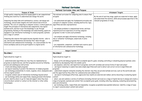## National Curriculum

| National Curriculum Aims and Purpose                                                                                                         |                                                                                                                              |                                            |  |
|----------------------------------------------------------------------------------------------------------------------------------------------|------------------------------------------------------------------------------------------------------------------------------|--------------------------------------------|--|
| Purpose of Study                                                                                                                             | Aims                                                                                                                         |                                            |  |
| A high-quality computing education equips pupils to use computational                                                                        | The national curriculum for computing aims to ensure that                                                                    |                                            |  |
| thinking and creativity to understand and change the world.                                                                                  | all pupils:                                                                                                                  | By the end of each k<br>and understand the |  |
| Computing has deep links with mathematics, science, and design and                                                                           | - can understand and apply the fundamental principles and                                                                    | relevant programme                         |  |
| technology, and provides insights into both natural and artificial                                                                           | concepts of computer science, including abstraction, logic,                                                                  |                                            |  |
| systems. The core of computing is computer science, in which pupils are<br>taught the principles of information and computation, how digital | algorithms and data representation                                                                                           |                                            |  |
| systems work, and how to put this knowledge to use through                                                                                   | - can analyse problems in computational terms, and have                                                                      |                                            |  |
| programming. Building on this knowledge and understanding, pupils are                                                                        | repeated practical experience of writing computer                                                                            |                                            |  |
| equipped to use information technology to create programs, systems<br>and a range of content.                                                | programs in order to solve such problems                                                                                     |                                            |  |
|                                                                                                                                              | - can evaluate and apply information technology, including                                                                   |                                            |  |
| Computing also ensures that pupils become digitally literate - able to                                                                       | new or unfamiliar technologies, analytically to solve                                                                        |                                            |  |
| use, and express themselves and develop their ideas through,<br>information and communication technology - at a level suitable for the       | problems                                                                                                                     |                                            |  |
| future workplace and as active participants in a digital world.                                                                              | - are responsible, competent, confident and creative users                                                                   |                                            |  |
|                                                                                                                                              | of information and communication technology.                                                                                 |                                            |  |
|                                                                                                                                              | $C1$ in $C2$ in $C2$ in $C3$ in $C4$ in $C5$ in $C6$ in $C7$ in $C8$ in $C9$ in $C1$ in $C1$ in $C1$ in $C1$ in $C1$ in $C1$ |                                            |  |

| Subject Content                                                                                                                                                                                                                                                                                                                                                                                                                                                                                                                                                                                                                                                                                           |                                                                                                                                                                                                                                                                                                                                                                                                                                                                                                                                                                                                                                                                                                                                                                                                                                                                                                                                     |  |  |
|-----------------------------------------------------------------------------------------------------------------------------------------------------------------------------------------------------------------------------------------------------------------------------------------------------------------------------------------------------------------------------------------------------------------------------------------------------------------------------------------------------------------------------------------------------------------------------------------------------------------------------------------------------------------------------------------------------------|-------------------------------------------------------------------------------------------------------------------------------------------------------------------------------------------------------------------------------------------------------------------------------------------------------------------------------------------------------------------------------------------------------------------------------------------------------------------------------------------------------------------------------------------------------------------------------------------------------------------------------------------------------------------------------------------------------------------------------------------------------------------------------------------------------------------------------------------------------------------------------------------------------------------------------------|--|--|
| <u>Key stage 1</u>                                                                                                                                                                                                                                                                                                                                                                                                                                                                                                                                                                                                                                                                                        | Key stage 2                                                                                                                                                                                                                                                                                                                                                                                                                                                                                                                                                                                                                                                                                                                                                                                                                                                                                                                         |  |  |
| Pupils should be taught to:                                                                                                                                                                                                                                                                                                                                                                                                                                                                                                                                                                                                                                                                               | Pupils should be taught to:                                                                                                                                                                                                                                                                                                                                                                                                                                                                                                                                                                                                                                                                                                                                                                                                                                                                                                         |  |  |
| - understand what algorithms are; how they are implemented as<br>programs on digital devices; and that programs execute by following<br>precise and unambiguous instructions<br>- create and debug simple programs<br>- use logical reasoning to predict the behaviour of simple programs<br>- use technology purposefully to create, organise, store, manipulate and<br>retrieve digital content<br>- recognise common uses of information technology beyond school<br>- use technology safely and respectfully, keeping personal information<br>private; identify where to go for help and support when they have<br>concerns about content or contact on the internet or other online<br>technologies. | - design, write and debug programs that accomplish specific goals, including contr<br>problems by decomposing them into smaller parts<br>- use sequence, selection, and repetition in programs; work with variables and vari<br>- use logical reasoning to explain how some simple algorithms work and to detect<br>programs<br>- understand computer networks including the internet; how they can provide mul<br>and the opportunities they offer for communication and collaboration<br>- use search technologies effectively, appreciate how results are selected and ra<br>content<br>- select, use and combine a variety of software (including internet services) on a r<br>range of programs, systems and content that accomplish given goals, including coll<br>data and information<br>- use technology safely, respectfully and responsibly; recognise acceptable/unacce<br>to report concerns about content and contact |  |  |

#### **Attainment Targets**

key stage, pupils are expected to know, apply matters, skills and processes specified in the of study.

olling or simulating physical systems; solve

ious forms of input and output and correct errors in algorithms and

lltiple services, such as the world wide web;

anked, and be discerning in evaluating digital

range of digital devices to design and create a  $\overline{\phantom{a}}$ lecting, analysing, evaluating and presenting

eptable behaviour; identify a range of ways: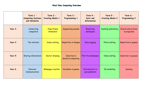# West Rise Computing Overview

|        | $Term 1 -$<br><b>Computing Systems</b><br>and Networks | $Term 2 -$<br><b>Creating Media 1</b> | $Term 3 -$<br><b>Programming 1</b> | Term 4 -<br>Data and<br><b>Information</b> | Term 5 -<br><b>Creating Media 2</b> | Term 6 -<br><b>Programming 2</b>  |
|--------|--------------------------------------------------------|---------------------------------------|------------------------------------|--------------------------------------------|-------------------------------------|-----------------------------------|
| Year 3 | Connecting<br>computers                                | Stop-frame<br>Animation               | Sequencing sounds                  | Branching<br>databases                     | Desktop publishing                  | Events and actions<br>in programs |
| Year 4 | The internet                                           | Audio editing                         | Repetition in shapes               | Data logging                               | Photo editing                       | Repetition in games               |
| Year 5 | Sharing information                                    | Vector drawing                        | Selection in<br>physical computing | Flat-file databases                        | Video editing                       | Selection in quizzes              |
| Year 6 | Internet<br>Communication                              | Webpage creation                      | Variables in games                 | Introduction to<br>spreadsheets            | 3D modelling                        | Sensing                           |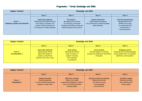# Progression - Termly Knowledge and Skills

| Subject Content                                     | <b>Knowledge and Skills</b>                                                                                                                               |                                                                                                                                          |                                                                                                           |                                                                                                                                      |  |
|-----------------------------------------------------|-----------------------------------------------------------------------------------------------------------------------------------------------------------|------------------------------------------------------------------------------------------------------------------------------------------|-----------------------------------------------------------------------------------------------------------|--------------------------------------------------------------------------------------------------------------------------------------|--|
|                                                     | Year 3                                                                                                                                                    | Year 4                                                                                                                                   | Year 5                                                                                                    | Year 6                                                                                                                               |  |
| $Term 1 -$<br><b>Computing Systems and Networks</b> | Connecting computers<br>Identifying that digital devices<br>have inputs, processes, and<br>outputs, and how devices can<br>be connected to make networks. | The internet<br>Recognising the internet<br>as a network of networks<br>including the WWW, and why we<br>should evaluate online content. | Sharing information<br>Identifying and exploring<br>how information is shared between<br>digital systems. | <b>Internet Communication</b><br>Recognising how the<br>WWW can be used<br>to communicate and<br>be searched to<br>find information. |  |

| Subject Content                       | <b>Knowledge and Skills</b>                                                                                                             |                                                                                                                       |                                                                                                    |                                                                                                                           |  |
|---------------------------------------|-----------------------------------------------------------------------------------------------------------------------------------------|-----------------------------------------------------------------------------------------------------------------------|----------------------------------------------------------------------------------------------------|---------------------------------------------------------------------------------------------------------------------------|--|
|                                       | Year 3                                                                                                                                  | Year 4                                                                                                                | Year 5                                                                                             | Year 6                                                                                                                    |  |
| $Term 2 -$<br><b>Creating Media 1</b> | <b>Stop-frame Animation</b><br>Capturing and editing<br>digital still images to<br>produce a stop-frame<br>animation that tells a story | Audio editing<br>Capturing and editing<br>audio to produce a<br>podcast, ensuring<br>that copyright<br>is considered. | Vector drawing<br>Creating images in a drawing<br>program by using layers and groups<br>of objects | Webpage creation<br>Designing and creating webpages,<br>giving consideration to copyright,<br>aesthetics, and navigation. |  |

| Subject Content                    | <b>Knowledge and Skills</b>                                                                              |                                                                                                                                 |                                                                                                                             |                                                                                          |  |
|------------------------------------|----------------------------------------------------------------------------------------------------------|---------------------------------------------------------------------------------------------------------------------------------|-----------------------------------------------------------------------------------------------------------------------------|------------------------------------------------------------------------------------------|--|
|                                    | Year 3                                                                                                   | Year 4                                                                                                                          | Year 5                                                                                                                      | Year 6                                                                                   |  |
| $Term 3 -$<br><b>Programming 1</b> | Sequencing sounds<br><b>Creating sequences</b><br>in a block-based programming<br>language to make music | Repetition in shapes<br>Using a text-based<br>programming language to explore<br>count-controlled loops when<br>drawing shapes. | Selection in physical computing<br><b>Exploring conditions</b><br>and selection using<br>a programmable<br>microcontroller. | Variables in games<br><b>Exploring variables</b><br>when designing and<br>coding a game. |  |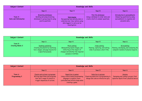| Subject Content                    | <b>Knowledge and Skills</b>                                                                                        |                                                                                                                                        |                                                                                                 |                                                                                                                 |  |
|------------------------------------|--------------------------------------------------------------------------------------------------------------------|----------------------------------------------------------------------------------------------------------------------------------------|-------------------------------------------------------------------------------------------------|-----------------------------------------------------------------------------------------------------------------|--|
|                                    | Year 3                                                                                                             | Year 4                                                                                                                                 | Year 5                                                                                          | Year 6                                                                                                          |  |
| $Term 4 -$<br>Data and Information | <b>Branching databases</b><br>Building and using branching<br>databases to group objects using<br>yes/no questions | Data logging<br>Recognising how and why data is<br>collected over time, before using<br>data loggers to carry out an<br>investigation. | Flat-file databases<br>Using a database to order data and<br>create charts to answer questions. | Introduction to spreadsheets<br>Answering questions by using<br>spreadsheets to organise and<br>calculate data. |  |

| Subject Content                       | <b>Knowledge and Skills</b>                                                                                         |                                                                                                                                               |                                                                                       |                                                                                                 |  |
|---------------------------------------|---------------------------------------------------------------------------------------------------------------------|-----------------------------------------------------------------------------------------------------------------------------------------------|---------------------------------------------------------------------------------------|-------------------------------------------------------------------------------------------------|--|
|                                       | Year 3                                                                                                              | Year 4                                                                                                                                        | Year 5                                                                                | Year 6                                                                                          |  |
| $Term 5 -$<br><b>Creating Media 2</b> | Desktop publishing<br>Creating documents by modifying<br>text, images, and page layouts for<br>a specified purpose. | Photo editing<br>Manipulating digital images, and<br>reflecting on the impact of<br>changes and whether the required<br>purpose is fulfilled. | . Video editing<br>Planning, capturing, and editing<br>video to produce a short film. | 3D modelling<br>Planning, developing, and evaluating 3D<br>computer models of physical objects. |  |

| Subject Content                    | <b>Knowledge and Skills</b>                                                                                                         |                                                                                                                                                |                                                                                                       |                                                                                          |  |
|------------------------------------|-------------------------------------------------------------------------------------------------------------------------------------|------------------------------------------------------------------------------------------------------------------------------------------------|-------------------------------------------------------------------------------------------------------|------------------------------------------------------------------------------------------|--|
|                                    | Year 3                                                                                                                              | Year 4                                                                                                                                         | Year 5                                                                                                | Year 6                                                                                   |  |
| $Term 6 -$<br><b>Programming 2</b> | Events and actions in programs<br>Writing algorithms and programs<br>that use a range of events to<br>trigger sequences of actions. | Repetition in games<br>Using a block-based programming<br>language to explore count-<br>controlled and infinite loops when<br>creating a game. | Selection in quizzes<br>Exploring selection in programming to<br>design and code an interactive quiz. | Sensing<br>Designing and coding a project that<br>captures inputs from a physical device |  |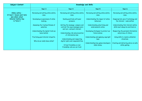| Subject Content                                                     | <b>Knowledge and Skills</b>                                          |                                                                                                     |                                                        |                                                                          |  |
|---------------------------------------------------------------------|----------------------------------------------------------------------|-----------------------------------------------------------------------------------------------------|--------------------------------------------------------|--------------------------------------------------------------------------|--|
|                                                                     | Year 3                                                               | Year 4                                                                                              | Year 5                                                 | Year 6                                                                   |  |
| Online safety -<br>At least 1 lesson each term<br>plus whole school | Reviewing and editing online safety<br>rules.                        | Reviewing and editing online safety<br>rules.                                                       | Reviewing and editing online safety<br>rules.          | Reviewing and editing online safety<br>rules.                            |  |
| <b>Internet Safety Day</b><br>in Term 3                             | Developing an awareness of online<br>bullying.                       | Dealing positively with peer<br>pressure.                                                           | Understanding the impact of online<br>behaviour.       | Inappropriate use of technology and<br>the internet - nude selfies.      |  |
|                                                                     | Assessing the trustworthiness of<br>websites.                        | Getting the message: compare and<br>contrast the ways messages were<br>sent pre- and post-internet. | Understanding advertising and<br>endorsements online.  | Understanding that internet safety<br>skills must always be switched on. |  |
|                                                                     | Understanding the digital trails we<br>leave behind.                 | Understanding risk and prevention<br>of information loss.                                           | Developing strategies to protect our<br>future selves. | Respecting the personal information<br>and privacy of others.            |  |
|                                                                     | Practising good internet etiquette.<br>Who do we really know online? | Understanding and respecting<br>digital rights and responsibilities.                                | Understanding and applying copyright<br>laws.          | Using skills to resolve unfamiliar<br>situations.                        |  |
|                                                                     |                                                                      | Virtual friendship vs real<br>friendship; who we can trust.                                         | Understanding how games developers<br>make money.      | Creating and delivering advice on safe<br>online gaming.                 |  |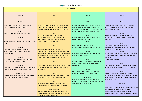### Progression - Vocabulary

**Vocabulary** 

| Year 3                                                                                                                                | Year 4                                                                                                                                                                                                       | Year 5                                                                                                                                                                                                    | Year 6                                                                                                                                      |
|---------------------------------------------------------------------------------------------------------------------------------------|--------------------------------------------------------------------------------------------------------------------------------------------------------------------------------------------------------------|-----------------------------------------------------------------------------------------------------------------------------------------------------------------------------------------------------------|---------------------------------------------------------------------------------------------------------------------------------------------|
| Term 1                                                                                                                                | Term 1                                                                                                                                                                                                       | Term 1                                                                                                                                                                                                    | Term 1                                                                                                                                      |
| inputs, processes, outputs, digital and non-<br>digital devices, computer networks<br>Term 2<br>media, stop-frame animation, sequence | internet, network of networks, secure, World<br>Wide Web, content, access, create, evaluate,<br>accurate, reliable, web page, website, copyright,<br><u>Term 2</u><br>Recording, digital audio, input device | computer systems, small-scale systems, large-<br>scale systems, collaborative, online project,<br>components, physical and electronic connections,<br>communicate, online collaborative working<br>Term 2 | search engine, select and rar<br>crawler, index, criteria, limit<br>information security<br><u>Term</u> 2<br>evaluate, copyright, fair use, |
| Term 3<br>sprite, backdrop, command, control, algorithm,                                                                              | (microphone), output device (speaker or<br>headphones), copyright, podcast, editing,<br>evaluate, volume, fade, export                                                                                       | vector images, shapes, layers, duplicate, object,<br>resizing, rotating, zoom, layers<br>Term 3                                                                                                           | navigation paths, layout feat<br>hyperlinks                                                                                                 |
| code<br>Term 4                                                                                                                        | Term 3                                                                                                                                                                                                       | selection in programming, Crumble,<br>microcontroller, conditions, algorithms, circuit                                                                                                                    | <u>Term 3</u><br>Variables, simulation, letters<br>identify a program variable o                                                            |
| data, branching database, attributes,<br>effectiveness, binary trees, pictograms,<br>grouping data                                    | programs, planning, modifying, testing,<br>commands, create, shapes, patterns, text-based<br>programming language, repetition, loop, sequence                                                                | Term 4<br>flat-file database, records, graphs, charts,                                                                                                                                                    | memory for a single value<br>Term 4<br>spreadsheet, column, row, da                                                                         |
| Term 5<br>text, images, communicate, font, template,                                                                                  | of commands, count-controlled loop, algorithm,<br>code, actions, decomposition, procedures.                                                                                                                  | field, order, sort, group<br>Term 5<br>capturing, editing, manipulating, visual media,                                                                                                                    | formula, cell, graph, chart, or<br>store, data<br>table, data headings                                                                      |
| orientation, placeholder, layout<br>Term 6                                                                                            | <u>Term 4</u><br>Data, senses, sensors, monitor, data points, data                                                                                                                                           | camera angles, filming techniques, scenes,<br>reshooting                                                                                                                                                  | <u>Term 5</u><br>3D model, 3D modelling, man                                                                                                |
| links, events, actions, sequencing, directions (up,<br>down, left, and right), task, design, code                                     | sets, logging intervals, analyse, automatically,<br>data logger                                                                                                                                              | Term 6<br>the 'if then else' structure, outcomes,                                                                                                                                                         | graphical objects, construct,<br><u>Term 6</u>                                                                                              |
| <b>Online Safety</b><br>online bullying, trustworthiness, inappropriate,<br>digital footprint, 'netiquette', avatar                   | Term 5<br>digital image, edit, crop, edited images, filters,<br>retouching, 'fake' and 'real', digitally alter                                                                                               | conditions, conditional statement, flow<br><b>Online Safety</b><br>advertising, endorsements, responsibility,                                                                                             | sequence, repetition, selection<br>micro:bit, step counter, cont<br>an operand (e.g. $\leftrightarrow$ =) in an if<br>modify, outcome       |
|                                                                                                                                       | <u>Term 6</u><br>Repetition, the difference between count-<br>controlled and infinite loops, modify, refine                                                                                                  | appropriate, online reputation, copyright, game<br>developers, parental controls                                                                                                                          | <b>Online Safe</b>                                                                                                                          |
|                                                                                                                                       | <b>Online Safety</b><br>peer pressure, accurate, criminal, suspicious,<br>viruses, personal information, accounts, digital                                                                                   |                                                                                                                                                                                                           | inappropriate, nude selfie, ag<br>networking, indecent images,<br>information, privacy prefere<br>bribery, permission, grooming             |
|                                                                                                                                       | citizenship, virtual friendship                                                                                                                                                                              |                                                                                                                                                                                                           |                                                                                                                                             |

 $r$ iables, simulation, letters (strings), entify a program variable as a placeholder in memory for a single value

3D model, 3D modelling, manipulate, represent, aphical objects, construct, rotate, position

#### Term 1

arch engine, select and rank results, web awler, index, criteria, limitations, privacy, ormation security

#### Term 2

aluate, copyright, fair use, aesthetics, vigation paths, layout features, web page, <sub>b</sub>erlinks

#### Term 3

#### Term 4

readsheet, column, row, data set, formatting, mula, cell, graph, chart, organise, analyse, re, data

#### Term 5

#### Term 6

quence, repetition, selection, variables, micro:bit, step counter, controllable device, use operand (e.g.  $\leftrightarrow$ =) in an if...then... statement, dify, outcome

#### Online Safety

ppropriate, nude selfie, age restriction, social tworking, indecent images, personal ormation, privacy preferences, trolling, ibery, permission, grooming, parental controls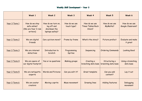|                      | Week 1                                                             | Week 2                                                               | Week 3                       | Week 4                                              | Week 5                               | Week 6                             |
|----------------------|--------------------------------------------------------------------|----------------------------------------------------------------------|------------------------------|-----------------------------------------------------|--------------------------------------|------------------------------------|
| <u>Year 3 Term 1</u> | How do we stay<br>safe online?<br>(We are Year 3 rule)<br>writers) | How do we turn on,<br>log off and<br>shutdown the<br>laptops safely? | How do we use<br>touch type? | How do we use<br><b>Times Tables Rock</b><br>Stars? | How do we use<br>MyMaths?            | How do we use<br>Google Classroom? |
| <u>Year 3 Term 2</u> | We are digital<br>friends                                          | Can a picture move?                                                  | Frame by frame               | What's the story?                                   | Picture prefect                      | Evaluate and make<br>it great      |
| <u>Year 3 Term 3</u> | We are internet<br>detectives                                      | Introduction to<br>Scratch                                           | Programming<br>Sprites       | Sequencing                                          | <b>Ordering Commands</b>             | <b>Looking Good</b>                |
| <u>Year 3 Term 4</u> | We are aware of<br>our digital footprint                           | Yes or no questions                                                  | <b>Making groups</b>         | Creating a<br>branching data base                   | Structuring a<br>branching data base | Using a branching<br>data base     |
| <u>Year 3 Term 5</u> | We are netiquette<br>experts                                       | <b>Words and Pictures</b>                                            | Can you edit it?             | Great template                                      | Can you add<br>content?              | Lay it out                         |
| <u>Year 3 Term 6</u> | We are avatar<br>creators                                          | Moving a sprite                                                      | Maze movement                | <b>Drawing lines</b>                                | Adding features                      | Debugging<br>movement              |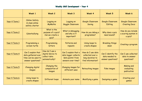|                       | Week 1                                                                               | Week 2                                                                | Week 3                                                                                   | Week 4                                                                         | Week 5                                                    | Week 6                                               |
|-----------------------|--------------------------------------------------------------------------------------|-----------------------------------------------------------------------|------------------------------------------------------------------------------------------|--------------------------------------------------------------------------------|-----------------------------------------------------------|------------------------------------------------------|
| Year 4 Term 1         | <b>Online Safety</b><br>& class online<br>safety charter                             | Logging on<br>MyMaths                                                 | Logging on<br>Goggle Classroom                                                           | Google Classroom<br>Saving                                                     | Google Classroom<br>Editing                               | Google Classroom<br><b>Creating Docs</b>             |
| <u>Year 4 Term 2</u>  | Cyberbullying                                                                        | What is the<br>purpose of a quiz?<br>Can we create a<br>quiz?         | What is debugging<br>and why is it<br>important?                                         | How do you debug a<br>programme?                                               | Why does a quiz<br>need sound?                            | How do you include<br>a scoring system in<br>a quiz? |
| Year 4 Term 3         | Programming a<br>screen turtle                                                       | Programming<br>letters                                                | Patterns and<br>repeats                                                                  | Using loops to<br>create shapes                                                | <b>Breaking things</b><br>down                            | Creating a program                                   |
| Year 4 Term 4         | Can I explain that<br>data gathered over<br>time can be used to<br>answer questions? | How do I use a<br>digital device to<br>collect data<br>automatically? | Can I explain that a<br>data logger collects<br>'data points' from<br>sensors over time? | How do I use data<br>collected over a<br>long duration to<br>find information? | Can I identify the<br>data needed to<br>answer questions? | Can I use collected<br>data to answer<br>questions?  |
| <u> Year 4 Term 5</u> | <b>Changing digital</b><br>images                                                    | Changing the<br>composition of<br>images                              | <b>Changing images for</b><br>different uses                                             | Retouching images                                                              | Fake images                                               | <b>Making and</b><br>evaluating<br>publication       |
| <u> Year 4 Term 6</u> | Using loops to<br>create shapes                                                      | Different loops                                                       | Animate your name                                                                        | Modifying a game                                                               | Designing a game                                          | <b>Creating your</b><br>games                        |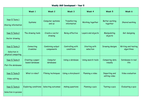|                                                            | Week 1                              | Week 2                         | Week 3                         | Week 4                     | Week 5                         | Week 6                            |
|------------------------------------------------------------|-------------------------------------|--------------------------------|--------------------------------|----------------------------|--------------------------------|-----------------------------------|
| <u>Year 5 Term 1</u><br>Sharing information                | Systems                             | Computer systems<br>and us     | Transferring<br>information    | Working together           | Better working<br>together     | Shared working                    |
| Year 5 Term 2<br>Vector drawing                            | The drawing tools                   | Create a vector<br>drawing     | Being effective                | Layers and objects         | Manipulating<br>objects        | Get designing                     |
| <u>Year 5 Term 3</u><br>Selection in<br>physical computing | Connecting<br>Crumbles              | Combining output<br>components | Controlling with<br>conditions | Starting with<br>selection | Drawing designs                | Writing and testing<br>algorithms |
| Year 5 Term 4<br>Flat-file databases                       | Creating a paper-<br>based database | Computer<br>databases          | Using a database               | Using search tools         | Comparing data<br>visually     | Databases in real<br>life         |
| <u>Year 5 Term 5</u><br>Video editing                      | What is video?                      | Filming techniques             | Using a storyboard             | Planning a video           | Importing and<br>editing video | <b>Video evaluation</b>           |
| <u>Year 5 Term 6</u><br>Selection in quizzes               | Exploring conditions                | Selecting outcomes             | Asking questions               | Planning a quiz            | Testing a quiz                 | Evaluating a quiz                 |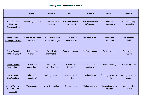|                                                               | Week 1                        | Week 2                                  | Week 3                           | Week 4                          | Week 5                           | Week 6                       |
|---------------------------------------------------------------|-------------------------------|-----------------------------------------|----------------------------------|---------------------------------|----------------------------------|------------------------------|
| Year 6 Term 1<br>Internet<br>Communication                    | Searching the web             | Selecting search<br>results             | How search results<br>are ranked | How are searches<br>influenced? | How we<br>communicate            | Communicating<br>responsibly |
| Year 6 Term 2<br><b>Web Page Creation</b>                     | What makes a good<br>website? | How would you lay<br>out your web page? | Copyright or<br>copyWRONG?       | How does it look?               | Follow the<br><b>breadcrumbs</b> | Think before you<br>link!    |
| Year 6 Term 3<br><b>Sensing in Games</b>                      | Introducing<br>variables      | Variables in<br>programming             | Improving a game                 | Designing a game                | Design to code                   | Improving and<br>sharing     |
| Year 6 Term 4<br>Spreadsheets                                 | What is a<br>spreadsheet?     | Modifying<br>spreadsheets               | What's the<br>formula?           | Calculate and<br>duplicate      | Event planning                   | Presenting data              |
| Year 6 Term 5<br>3D Modelling                                 | What is 3D<br>modelling?      | Making changes                          | Rotation and<br>position         | <b>Making holes</b>             | Planning my own 3D<br>model      | Making my own 3D<br>model    |
| <u> Year 6 Term 6 - </u><br><b>Sensing using</b><br>micro:bit | The micro:bit                 | Go with the flow                        | Sensing inputs                   | Finding your way                | Designing a step<br>counter      | Making a step<br>counter     |